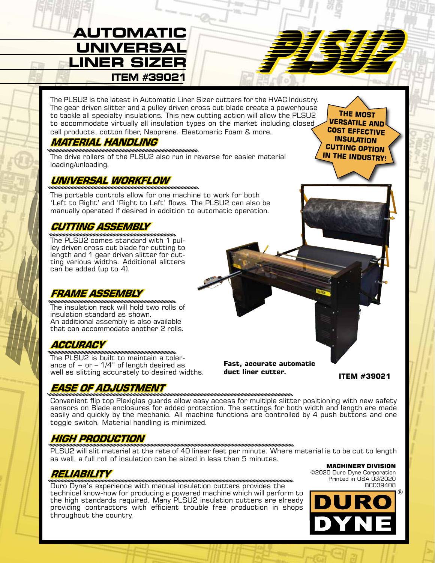# AUTOMATIC<br>UNIVERSAL<br><u>INER SIZER STAN STANDER</u> **UNIVERSAL LINER SIZER ITEM #39021**

The PLSU2 is the latest in Automatic Liner Sizer cutters for the HVAC Industry.<br>The gear driven slitter and a pulley driven cross cut blade create a powerhouse<br>ou accommodele writen all insulation types on the market incud to tackle all specialty insulations. This new cutting action will allow the PLSU2 to accommodate virtually all insulation types on the market including closed cell products, cotton fiber, Neoprene, Elastomeric Foam & more.

# **MATERIAL HANDLING**

The drive rollers of the PLSU2 also run in reverse for easier material loading/unloading.

### **UNIVERSAL WORKFLOW**

The portable controls allow for one machine to work for both 'Left to Right' and 'Right to Left' flows. The PLSU2 can also be manually operated if desired in addition to automatic operation.

# **CUTTING ASSEMBLY**

The PLSU2 comes standard with 1 pul- ley driven cross cut blade for cutting to ting various widths. Additional slitters can be added (up to 4).

## **FRAME ASSEMBLY**

The insulation rack will hold two rolls of insulation standard as shown. An additional assembly is also available that can accommodate another 2 rolls.

### **ACCURACY**

The PLSU2 is built to maintain a tolerance of  $+$  or  $-$  1/4" of length desired as well as slitting accurately to desired widths.

### **EASE OF ADJUSTMENT**

**Fast, accurate automatic duct liner cutter.**

**ITEM #39021**

**THE MOST VERSATILE AND COST EFFECTIVE INSULATION CUTTING OPTION IN THE INDUSTRY!**

Convenient flip top Plexiglas guards allow easy access for multiple slitter positioning with new safety sensors on Blade enclosures for added protection. The settings for both width and length are made easily and quickly by the mechanic. All machine functions are controlled by 4 push buttons and one toggle switch. Material handling is minimized.

### **HIGH PRODUCTION**

PLSU2 will slit material at the rate of 40 linear feet per minute. Where material is to be cut to length as well, a full roll of insulation can be sized in less than 5 minutes.

# **RELIABILITY**

Duro Dyne's experience with manual insulation cutters provides the technical know-how for producing a powered machine which will perform to the high standards required. Many PLSU2 insulation cutters are already providing contractors with efficient trouble free production in shops throughout the country.

MACHINERY DIVISION ©2020 Duro Dyne Corporation Printed in USA 03/2020 BC039408